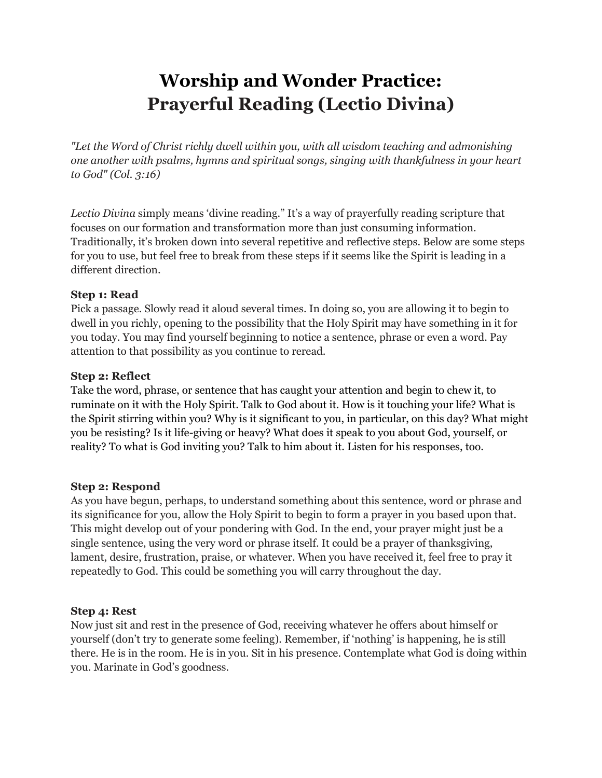# **Worship and Wonder Practice: Prayerful Reading (Lectio Divina)**

*"Let the Word of Christ richly dwell within you, with all wisdom teaching and admonishing one another with psalms, hymns and spiritual songs, singing with thankfulness in your heart to God" (Col. 3:16)*

*Lectio Divina* simply means 'divine reading." It's a way of prayerfully reading scripture that focuses on our formation and transformation more than just consuming information. Traditionally, it's broken down into several repetitive and reflective steps. Below are some steps for you to use, but feel free to break from these steps if it seems like the Spirit is leading in a different direction.

### **Step 1: Read**

Pick a passage. Slowly read it aloud several times. In doing so, you are allowing it to begin to dwell in you richly, opening to the possibility that the Holy Spirit may have something in it for you today. You may find yourself beginning to notice a sentence, phrase or even a word. Pay attention to that possibility as you continue to reread.

### **Step 2: Reflect**

Take the word, phrase, or sentence that has caught your attention and begin to chew it, to ruminate on it with the Holy Spirit. Talk to God about it. How is it touching your life? What is the Spirit stirring within you? Why is it significant to you, in particular, on this day? What might you be resisting? Is it life-giving or heavy? What does it speak to you about God, yourself, or reality? To what is God inviting you? Talk to him about it. Listen for his responses, too.

# **Step 2: Respond**

As you have begun, perhaps, to understand something about this sentence, word or phrase and its significance for you, allow the Holy Spirit to begin to form a prayer in you based upon that. This might develop out of your pondering with God. In the end, your prayer might just be a single sentence, using the very word or phrase itself. It could be a prayer of thanksgiving, lament, desire, frustration, praise, or whatever. When you have received it, feel free to pray it repeatedly to God. This could be something you will carry throughout the day.

# **Step 4: Rest**

Now just sit and rest in the presence of God, receiving whatever he offers about himself or yourself (don't try to generate some feeling). Remember, if 'nothing' is happening, he is still there. He is in the room. He is in you. Sit in his presence. Contemplate what God is doing within you. Marinate in God's goodness.